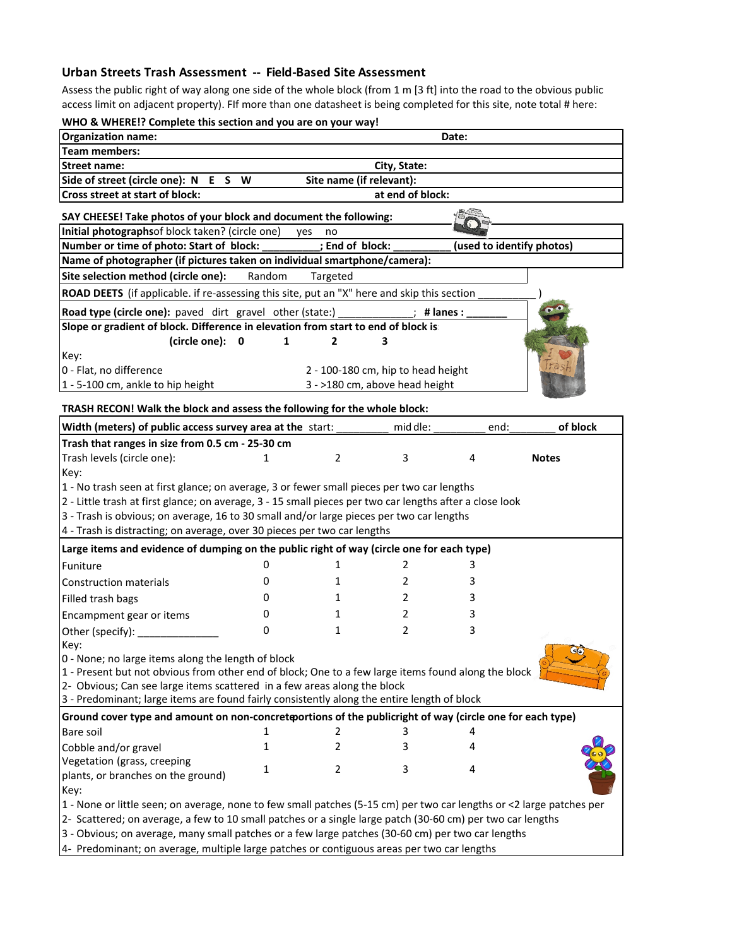## **Urban Streets Trash Assessment -- Field-Based Site Assessment**

Assess the public right of way along one side of the whole block (from 1 m [3 ft] into the road to the obvious public access limit on adjacent property). FIf more than one datasheet is being completed for this site, note total # here:

| WHO & WHERE!? Complete this section and you are on your way!                                                                                                                                                                       |        |                          |                                    |                           |              |  |
|------------------------------------------------------------------------------------------------------------------------------------------------------------------------------------------------------------------------------------|--------|--------------------------|------------------------------------|---------------------------|--------------|--|
| <b>Organization name:</b>                                                                                                                                                                                                          |        |                          |                                    | Date:                     |              |  |
| <b>Team members:</b>                                                                                                                                                                                                               |        |                          |                                    |                           |              |  |
| <b>Street name:</b>                                                                                                                                                                                                                |        |                          | City, State:                       |                           |              |  |
| Side of street (circle one): N E S W                                                                                                                                                                                               |        | Site name (if relevant): |                                    |                           |              |  |
| Cross street at start of block:                                                                                                                                                                                                    |        |                          | at end of block:                   |                           |              |  |
| SAY CHEESE! Take photos of your block and document the following:                                                                                                                                                                  |        |                          |                                    |                           |              |  |
| Initial photographsof block taken? (circle one)                                                                                                                                                                                    |        | yes<br>no                |                                    |                           |              |  |
| Number or time of photo: Start of block:                                                                                                                                                                                           |        | ; End of block:          |                                    | (used to identify photos) |              |  |
| Name of photographer (if pictures taken on individual smartphone/camera):                                                                                                                                                          |        |                          |                                    |                           |              |  |
| Site selection method (circle one):                                                                                                                                                                                                | Random | Targeted                 |                                    |                           |              |  |
| ROAD DEETS (if applicable. if re-assessing this site, put an "X" here and skip this section                                                                                                                                        |        |                          |                                    |                           |              |  |
| Road type (circle one): paved dirt gravel other (state:)                                                                                                                                                                           |        |                          | # lanes :                          |                           |              |  |
| Slope or gradient of block. Difference in elevation from start to end of block is:                                                                                                                                                 |        |                          |                                    |                           |              |  |
| (circle one):<br>$\overline{\mathbf{0}}$                                                                                                                                                                                           | 1      | 2                        | 3                                  |                           |              |  |
| Key:                                                                                                                                                                                                                               |        |                          |                                    |                           |              |  |
| 0 - Flat, no difference                                                                                                                                                                                                            |        |                          | 2 - 100-180 cm, hip to head height |                           |              |  |
| 1 - 5-100 cm, ankle to hip height                                                                                                                                                                                                  |        |                          | 3 - >180 cm, above head height     |                           |              |  |
| TRASH RECON! Walk the block and assess the following for the whole block:                                                                                                                                                          |        |                          |                                    |                           |              |  |
| Width (meters) of public access survey area at the start:                                                                                                                                                                          |        |                          | mid dle:                           | end:                      | of block     |  |
| Trash that ranges in size from 0.5 cm - 25-30 cm                                                                                                                                                                                   |        |                          |                                    |                           |              |  |
| Trash levels (circle one):                                                                                                                                                                                                         | 1      | $\overline{2}$           | 3                                  | 4                         | <b>Notes</b> |  |
| Key:                                                                                                                                                                                                                               |        |                          |                                    |                           |              |  |
| 1 - No trash seen at first glance; on average, 3 or fewer small pieces per two car lengths                                                                                                                                         |        |                          |                                    |                           |              |  |
| 2 - Little trash at first glance; on average, 3 - 15 small pieces per two car lengths after a close look                                                                                                                           |        |                          |                                    |                           |              |  |
| 3 - Trash is obvious; on average, 16 to 30 small and/or large pieces per two car lengths                                                                                                                                           |        |                          |                                    |                           |              |  |
| 4 - Trash is distracting; on average, over 30 pieces per two car lengths                                                                                                                                                           |        |                          |                                    |                           |              |  |
| Large items and evidence of dumping on the public right of way (circle one for each type)                                                                                                                                          |        |                          |                                    |                           |              |  |
| Funiture                                                                                                                                                                                                                           | 0      | 1                        | 2                                  | 3                         |              |  |
| <b>Construction materials</b>                                                                                                                                                                                                      | 0      | 1                        | 2                                  | 3                         |              |  |
| Filled trash bags                                                                                                                                                                                                                  | 0      | 1                        | 2                                  | 3                         |              |  |
| Encampment gear or items                                                                                                                                                                                                           | 0      | 1                        | 2                                  | 3                         |              |  |
|                                                                                                                                                                                                                                    | 0      | 1                        | 2                                  | 3                         |              |  |
| Other (specify):<br>Kev:                                                                                                                                                                                                           |        |                          |                                    |                           |              |  |
| 0 - None; no large items along the length of block                                                                                                                                                                                 |        |                          |                                    |                           |              |  |
| 1 - Present but not obvious from other end of block; One to a few large items found along the block                                                                                                                                |        |                          |                                    |                           |              |  |
| 2- Obvious; Can see large items scattered in a few areas along the block                                                                                                                                                           |        |                          |                                    |                           |              |  |
| 3 - Predominant; large items are found fairly consistently along the entire length of block                                                                                                                                        |        |                          |                                    |                           |              |  |
| Ground cover type and amount on non-concret portions of the publicright of way (circle one for each type)                                                                                                                          |        |                          |                                    |                           |              |  |
| Bare soil                                                                                                                                                                                                                          | 1      | 2                        | 3                                  | 4                         |              |  |
| Cobble and/or gravel                                                                                                                                                                                                               | 1      | 2                        |                                    | 4                         |              |  |
| Vegetation (grass, creeping                                                                                                                                                                                                        |        |                          |                                    |                           |              |  |
| plants, or branches on the ground)                                                                                                                                                                                                 | 1      | $\overline{2}$           | 3                                  | 4                         |              |  |
| Key:                                                                                                                                                                                                                               |        |                          |                                    |                           |              |  |
|                                                                                                                                                                                                                                    |        |                          |                                    |                           |              |  |
|                                                                                                                                                                                                                                    |        |                          |                                    |                           |              |  |
| 1 - None or little seen; on average, none to few small patches (5-15 cm) per two car lengths or <2 large patches per<br>2- Scattered; on average, a few to 10 small patches or a single large patch (30-60 cm) per two car lengths |        |                          |                                    |                           |              |  |

3 - Obvious; on average, many small patches or a few large patches (30-60 cm) per two car lengths

4- Predominant; on average, multiple large patches or contiguous areas per two car lengths